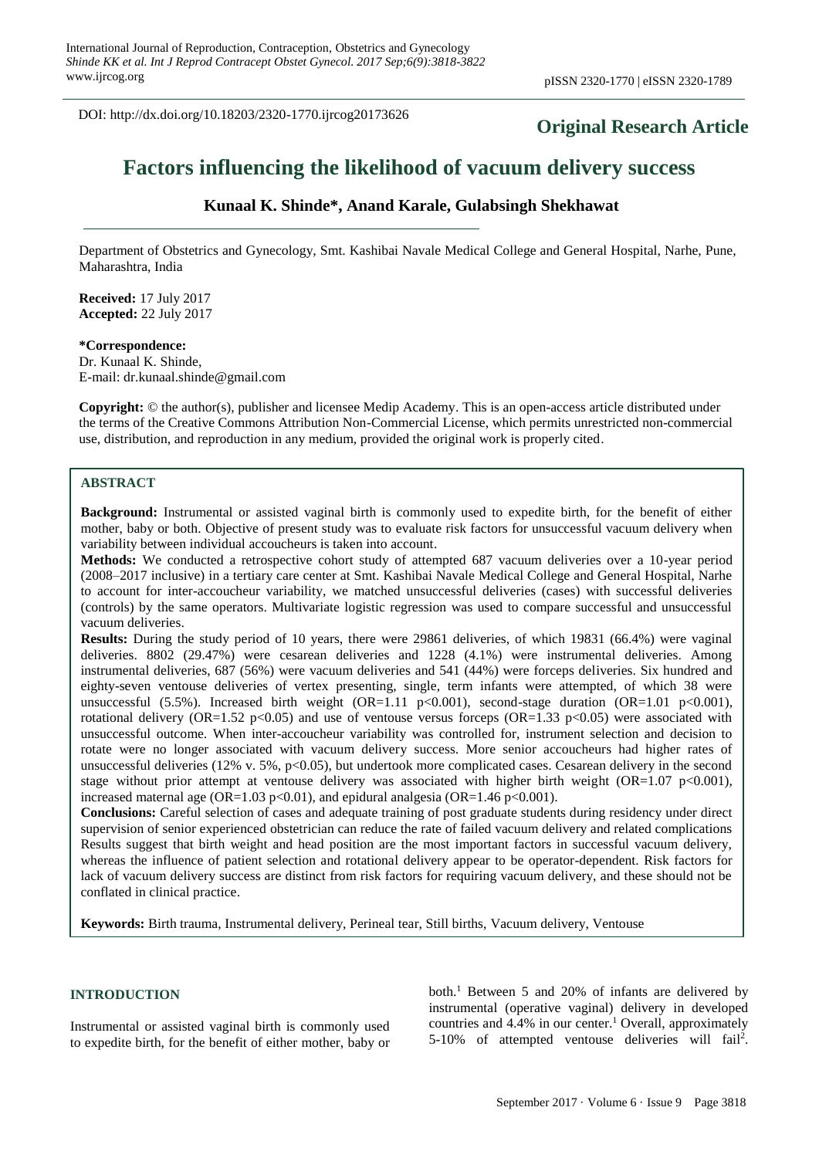DOI: http://dx.doi.org/10.18203/2320-1770.ijrcog20173626

# **Original Research Article**

# **Factors influencing the likelihood of vacuum delivery success**

### **Kunaal K. Shinde\*, Anand Karale, Gulabsingh Shekhawat**

Department of Obstetrics and Gynecology, Smt. Kashibai Navale Medical College and General Hospital, Narhe, Pune, Maharashtra, India

**Received:** 17 July 2017 **Accepted:** 22 July 2017

# **\*Correspondence:**

Dr. Kunaal K. Shinde, E-mail: dr.kunaal.shinde@gmail.com

**Copyright:** © the author(s), publisher and licensee Medip Academy. This is an open-access article distributed under the terms of the Creative Commons Attribution Non-Commercial License, which permits unrestricted non-commercial use, distribution, and reproduction in any medium, provided the original work is properly cited.

#### **ABSTRACT**

**Background:** Instrumental or assisted vaginal birth is commonly used to expedite birth, for the benefit of either mother, baby or both. Objective of present study was to evaluate risk factors for unsuccessful vacuum delivery when variability between individual accoucheurs is taken into account.

**Methods:** We conducted a retrospective cohort study of attempted 687 vacuum deliveries over a 10-year period (2008–2017 inclusive) in a tertiary care center at Smt. Kashibai Navale Medical College and General Hospital, Narhe to account for inter-accoucheur variability, we matched unsuccessful deliveries (cases) with successful deliveries (controls) by the same operators. Multivariate logistic regression was used to compare successful and unsuccessful vacuum deliveries.

**Results:** During the study period of 10 years, there were 29861 deliveries, of which 19831 (66.4%) were vaginal deliveries. 8802 (29.47%) were cesarean deliveries and 1228 (4.1%) were instrumental deliveries. Among instrumental deliveries, 687 (56%) were vacuum deliveries and 541 (44%) were forceps deliveries. Six hundred and eighty-seven ventouse deliveries of vertex presenting, single, term infants were attempted, of which 38 were unsuccessful (5.5%). Increased birth weight (OR=1.11  $p<0.001$ ), second-stage duration (OR=1.01 p<0.001), rotational delivery (OR=1.52 p<0.05) and use of ventouse versus forceps (OR=1.33 p<0.05) were associated with unsuccessful outcome. When inter-accoucheur variability was controlled for, instrument selection and decision to rotate were no longer associated with vacuum delivery success. More senior accoucheurs had higher rates of unsuccessful deliveries (12% v. 5%, p<0.05), but undertook more complicated cases. Cesarean delivery in the second stage without prior attempt at ventouse delivery was associated with higher birth weight  $(OR=1.07 \text{ p} < 0.001)$ , increased maternal age (OR=1.03 p<0.01), and epidural analgesia (OR=1.46 p<0.001).

**Conclusions:** Careful selection of cases and adequate training of post graduate students during residency under direct supervision of senior experienced obstetrician can reduce the rate of failed vacuum delivery and related complications Results suggest that birth weight and head position are the most important factors in successful vacuum delivery, whereas the influence of patient selection and rotational delivery appear to be operator-dependent. Risk factors for lack of vacuum delivery success are distinct from risk factors for requiring vacuum delivery, and these should not be conflated in clinical practice.

**Keywords:** Birth trauma, Instrumental delivery, Perineal tear, Still births, Vacuum delivery, Ventouse

#### **INTRODUCTION**

Instrumental or assisted vaginal birth is commonly used to expedite birth, for the benefit of either mother, baby or

both. <sup>1</sup> Between 5 and 20% of infants are delivered by instrumental (operative vaginal) delivery in developed countries and 4.4% in our center.<sup>1</sup> Overall, approximately 5-10% of attempted ventouse deliveries will fail<sup>2</sup> .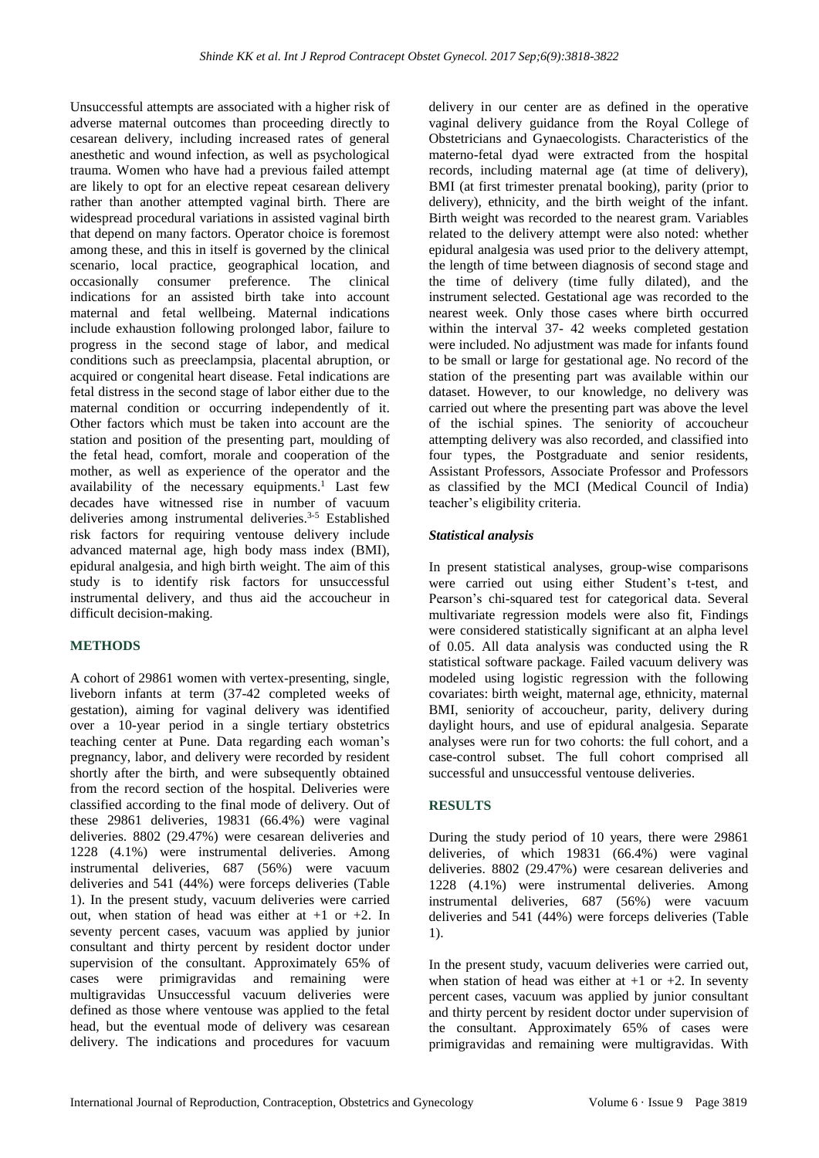Unsuccessful attempts are associated with a higher risk of adverse maternal outcomes than proceeding directly to cesarean delivery, including increased rates of general anesthetic and wound infection, as well as psychological trauma. Women who have had a previous failed attempt are likely to opt for an elective repeat cesarean delivery rather than another attempted vaginal birth. There are widespread procedural variations in assisted vaginal birth that depend on many factors. Operator choice is foremost among these, and this in itself is governed by the clinical scenario, local practice, geographical location, and occasionally consumer preference. The clinical indications for an assisted birth take into account maternal and fetal wellbeing. Maternal indications include exhaustion following prolonged labor, failure to progress in the second stage of labor, and medical conditions such as preeclampsia, placental abruption, or acquired or congenital heart disease. Fetal indications are fetal distress in the second stage of labor either due to the maternal condition or occurring independently of it. Other factors which must be taken into account are the station and position of the presenting part, moulding of the fetal head, comfort, morale and cooperation of the mother, as well as experience of the operator and the availability of the necessary equipments. <sup>1</sup> Last few decades have witnessed rise in number of vacuum deliveries among instrumental deliveries. 3-5 Established risk factors for requiring ventouse delivery include advanced maternal age, high body mass index (BMI), epidural analgesia, and high birth weight. The aim of this study is to identify risk factors for unsuccessful instrumental delivery, and thus aid the accoucheur in difficult decision-making.

## **METHODS**

A cohort of 29861 women with vertex-presenting, single, liveborn infants at term (37-42 completed weeks of gestation), aiming for vaginal delivery was identified over a 10-year period in a single tertiary obstetrics teaching center at Pune. Data regarding each woman's pregnancy, labor, and delivery were recorded by resident shortly after the birth, and were subsequently obtained from the record section of the hospital. Deliveries were classified according to the final mode of delivery. Out of these 29861 deliveries, 19831 (66.4%) were vaginal deliveries. 8802 (29.47%) were cesarean deliveries and 1228 (4.1%) were instrumental deliveries. Among instrumental deliveries, 687 (56%) were vacuum deliveries and 541 (44%) were forceps deliveries (Table 1). In the present study, vacuum deliveries were carried out, when station of head was either at  $+1$  or  $+2$ . In seventy percent cases, vacuum was applied by junior consultant and thirty percent by resident doctor under supervision of the consultant. Approximately 65% of cases were primigravidas and remaining were multigravidas Unsuccessful vacuum deliveries were defined as those where ventouse was applied to the fetal head, but the eventual mode of delivery was cesarean delivery. The indications and procedures for vacuum delivery in our center are as defined in the operative vaginal delivery guidance from the Royal College of Obstetricians and Gynaecologists. Characteristics of the materno-fetal dyad were extracted from the hospital records, including maternal age (at time of delivery), BMI (at first trimester prenatal booking), parity (prior to delivery), ethnicity, and the birth weight of the infant. Birth weight was recorded to the nearest gram. Variables related to the delivery attempt were also noted: whether epidural analgesia was used prior to the delivery attempt, the length of time between diagnosis of second stage and the time of delivery (time fully dilated), and the instrument selected. Gestational age was recorded to the nearest week. Only those cases where birth occurred within the interval 37- 42 weeks completed gestation were included. No adjustment was made for infants found to be small or large for gestational age. No record of the station of the presenting part was available within our dataset. However, to our knowledge, no delivery was carried out where the presenting part was above the level of the ischial spines. The seniority of accoucheur attempting delivery was also recorded, and classified into four types, the Postgraduate and senior residents, Assistant Professors, Associate Professor and Professors as classified by the MCI (Medical Council of India) teacher's eligibility criteria.

#### *Statistical analysis*

In present statistical analyses, group-wise comparisons were carried out using either Student's t-test, and Pearson's chi-squared test for categorical data. Several multivariate regression models were also fit, Findings were considered statistically significant at an alpha level of 0.05. All data analysis was conducted using the R statistical software package. Failed vacuum delivery was modeled using logistic regression with the following covariates: birth weight, maternal age, ethnicity, maternal BMI, seniority of accoucheur, parity, delivery during daylight hours, and use of epidural analgesia. Separate analyses were run for two cohorts: the full cohort, and a case-control subset. The full cohort comprised all successful and unsuccessful ventouse deliveries.

#### **RESULTS**

During the study period of 10 years, there were 29861 deliveries, of which 19831 (66.4%) were vaginal deliveries. 8802 (29.47%) were cesarean deliveries and 1228 (4.1%) were instrumental deliveries. Among instrumental deliveries, 687 (56%) were vacuum deliveries and 541 (44%) were forceps deliveries (Table 1).

In the present study, vacuum deliveries were carried out, when station of head was either at  $+1$  or  $+2$ . In seventy percent cases, vacuum was applied by junior consultant and thirty percent by resident doctor under supervision of the consultant. Approximately 65% of cases were primigravidas and remaining were multigravidas. With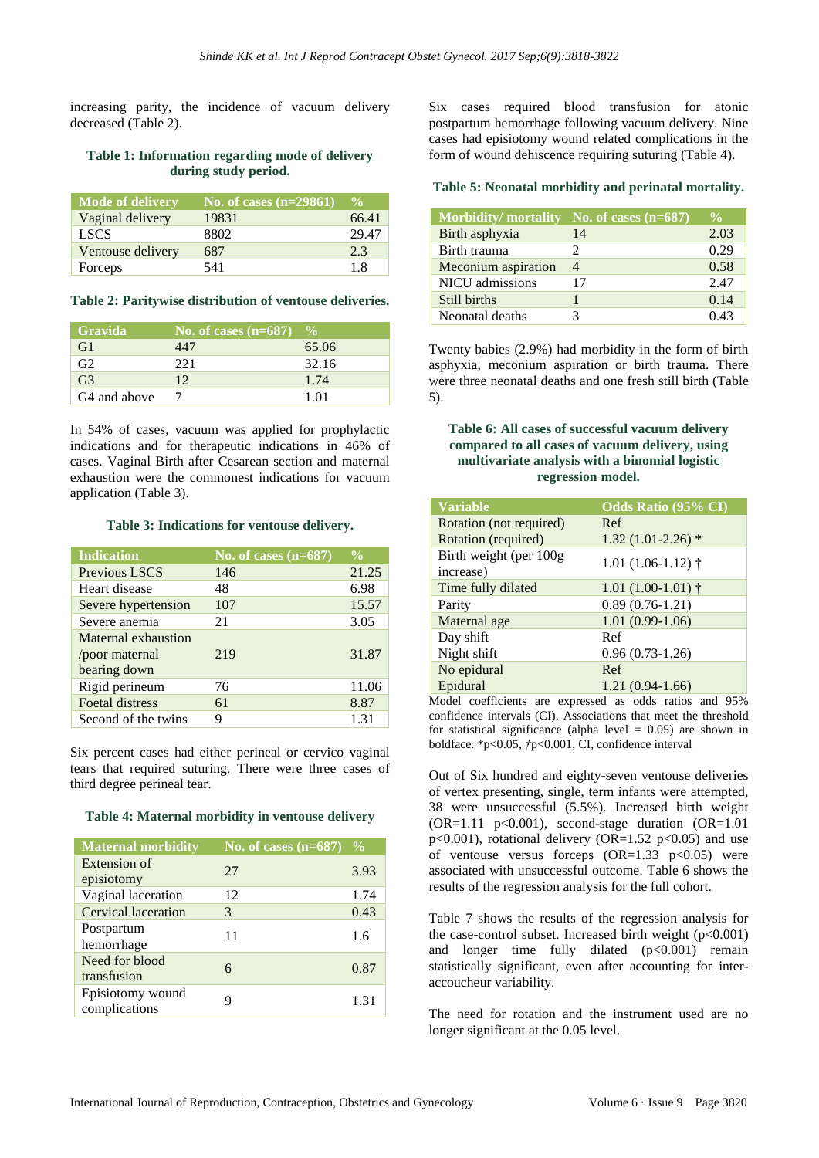increasing parity, the incidence of vacuum delivery decreased (Table 2).

#### **Table 1: Information regarding mode of delivery during study period.**

| <b>Mode of delivery</b> | No. of cases $(n=29861)$ | $\frac{0}{0}$ |
|-------------------------|--------------------------|---------------|
| Vaginal delivery        | 19831                    | 66.41         |
| <b>LSCS</b>             | 8802                     | 29.47         |
| Ventouse delivery       | 687                      | 2.3           |
| Forceps                 | 541                      | 18            |

**Table 2: Paritywise distribution of ventouse deliveries.**

| <b>Gravida</b>           | No. of cases $(n=687)$ % |       |
|--------------------------|--------------------------|-------|
| G <sub>1</sub>           | 447                      | 65.06 |
| G <sub>2</sub>           | 221                      | 32.16 |
| G <sub>3</sub>           | 12                       | 1.74  |
| G <sub>4</sub> and above |                          | 1 O 1 |

In 54% of cases, vacuum was applied for prophylactic indications and for therapeutic indications in 46% of cases. Vaginal Birth after Cesarean section and maternal exhaustion were the commonest indications for vacuum application (Table 3).

#### **Table 3: Indications for ventouse delivery.**

| <b>Indication</b>   | No. of cases $(n=687)$ | $\frac{0}{0}$ |
|---------------------|------------------------|---------------|
| Previous LSCS       | 146                    | 21.25         |
| Heart disease       | 48                     | 6.98          |
| Severe hypertension | 107                    | 15.57         |
| Severe anemia       | 21                     | 3.05          |
| Maternal exhaustion |                        |               |
| /poor maternal      | 219                    | 31.87         |
| bearing down        |                        |               |
| Rigid perineum      | 76                     | 11.06         |
| Foetal distress     | 61                     | 8.87          |
| Second of the twins | 9                      | 1.31          |

Six percent cases had either perineal or cervico vaginal tears that required suturing. There were three cases of third degree perineal tear.

#### **Table 4: Maternal morbidity in ventouse delivery**

| <b>Maternal morbidity</b>         | No. of cases $(n=687)$ % |      |
|-----------------------------------|--------------------------|------|
| Extension of<br>episiotomy        | 27                       | 3.93 |
| Vaginal laceration                | 12                       | 1.74 |
| Cervical laceration               | 3                        | 0.43 |
| Postpartum<br>hemorrhage          | 11                       | 1.6  |
| Need for blood<br>transfusion     | 6                        | 0.87 |
| Episiotomy wound<br>complications |                          | 1.31 |
|                                   |                          |      |

Six cases required blood transfusion for atonic postpartum hemorrhage following vacuum delivery. Nine cases had episiotomy wound related complications in the form of wound dehiscence requiring suturing (Table 4).

#### **Table 5: Neonatal morbidity and perinatal mortality.**

| Morbidity/ mortality No. of cases $(n=687)$ |    | $\frac{0}{0}$ |
|---------------------------------------------|----|---------------|
| Birth asphyxia                              | 14 | 2.03          |
| Birth trauma                                | 2  | 0.29          |
| Meconium aspiration                         | 4  | 0.58          |
| NICU admissions                             | 17 | 2.47          |
| Still births                                |    | 0.14          |
| Neonatal deaths                             |    | 0.43          |

Twenty babies (2.9%) had morbidity in the form of birth asphyxia, meconium aspiration or birth trauma. There were three neonatal deaths and one fresh still birth (Table 5).

#### **Table 6: All cases of successful vacuum delivery compared to all cases of vacuum delivery, using multivariate analysis with a binomial logistic regression model.**

| <b>Variable</b>         | Odds Ratio (95% CI) |
|-------------------------|---------------------|
| Rotation (not required) | Ref                 |
| Rotation (required)     | $1.32(1.01-2.26)$ * |
| Birth weight (per 100g  | $1.01(1.06-1.12)$ † |
| increase)               |                     |
| Time fully dilated      | $1.01(1.00-1.01)$ † |
| Parity                  | $0.89(0.76-1.21)$   |
| Maternal age            | $1.01(0.99-1.06)$   |
| Day shift               | Ref                 |
| Night shift             | $0.96(0.73-1.26)$   |
| No epidural             | Ref                 |
| Epidural                | $1.21(0.94-1.66)$   |

Model coefficients are expressed as odds ratios and 95% confidence intervals (CI). Associations that meet the threshold for statistical significance (alpha level  $= 0.05$ ) are shown in boldface. \*p<0.05, *†*p<0.001, CI, confidence interval

Out of Six hundred and eighty-seven ventouse deliveries of vertex presenting, single, term infants were attempted, 38 were unsuccessful (5.5%). Increased birth weight  $(OR=1.11 \text{ p} < 0.001)$ , second-stage duration  $(OR=1.01 \text{ p}$  $p<0.001$ ), rotational delivery (OR=1.52  $p<0.05$ ) and use of ventouse versus forceps  $(OR=1.33 \text{ p} < 0.05)$  were associated with unsuccessful outcome. Table 6 shows the results of the regression analysis for the full cohort.

Table 7 shows the results of the regression analysis for the case-control subset. Increased birth weight  $(p<0.001)$ and longer time fully dilated (p<0.001) remain statistically significant, even after accounting for interaccoucheur variability.

The need for rotation and the instrument used are no longer significant at the 0.05 level.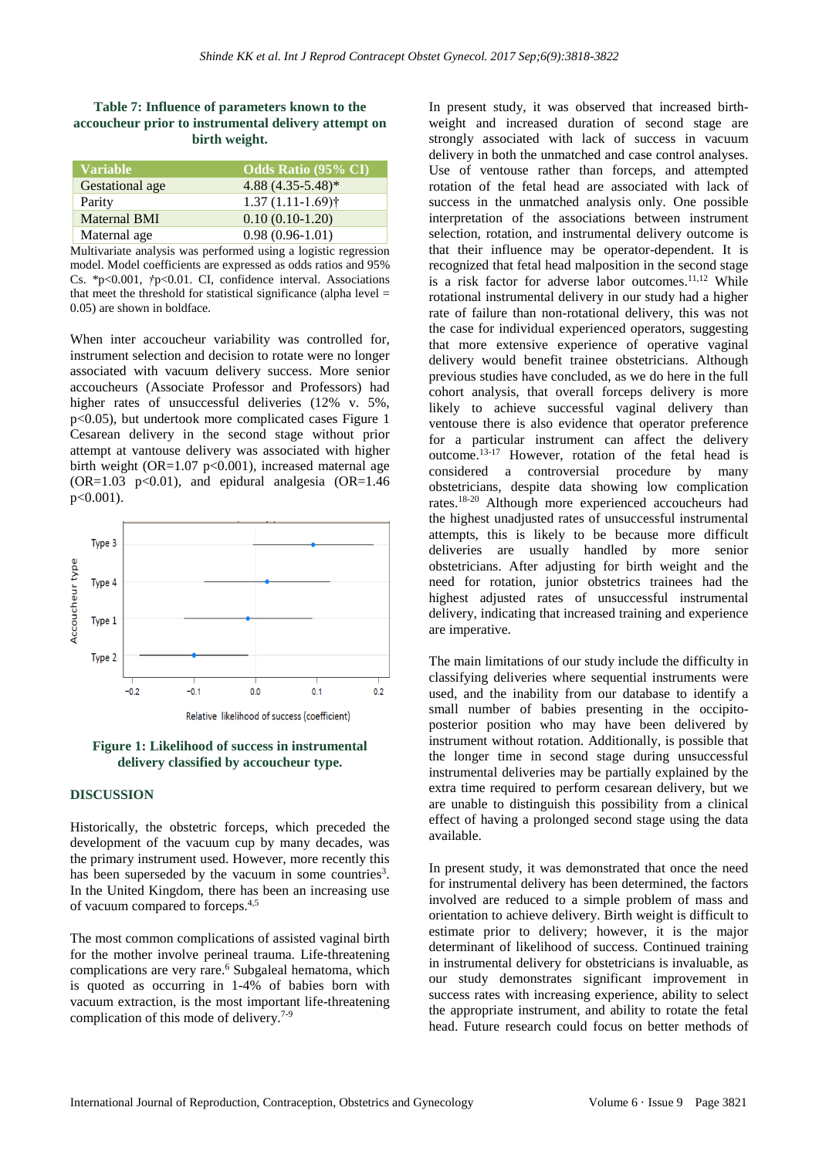#### **Table 7: Influence of parameters known to the accoucheur prior to instrumental delivery attempt on birth weight.**

| <b>Variable</b>     | <b>Odds Ratio (95% CI)</b> |
|---------------------|----------------------------|
| Gestational age     | $4.88(4.35-5.48)$ *        |
| Parity              | $1.37(1.11-1.69)$ †        |
| <b>Maternal BMI</b> | $0.10(0.10-1.20)$          |
| Maternal age        | $0.98(0.96-1.01)$          |

Multivariate analysis was performed using a logistic regression model. Model coefficients are expressed as odds ratios and 95% Cs. \*p<0.001, *†*p<0.01. CI, confidence interval. Associations that meet the threshold for statistical significance (alpha level  $=$ 0.05) are shown in boldface.

When inter accoucheur variability was controlled for, instrument selection and decision to rotate were no longer associated with vacuum delivery success. More senior accoucheurs (Associate Professor and Professors) had higher rates of unsuccessful deliveries (12% v. 5%, p<0.05), but undertook more complicated cases Figure 1 Cesarean delivery in the second stage without prior attempt at vantouse delivery was associated with higher birth weight ( $OR=1.07$  p $<0.001$ ), increased maternal age  $(OR=1.03 \text{ p} < 0.01)$ , and epidural analgesia  $(OR=1.46$ p<0.001).



**Figure 1: Likelihood of success in instrumental delivery classified by accoucheur type.**

#### **DISCUSSION**

Historically, the obstetric forceps, which preceded the development of the vacuum cup by many decades, was the primary instrument used. However, more recently this has been superseded by the vacuum in some countries<sup>3</sup>. In the United Kingdom, there has been an increasing use of vacuum compared to forceps. 4,5

The most common complications of assisted vaginal birth for the mother involve perineal trauma. Life-threatening complications are very rare. <sup>6</sup> Subgaleal hematoma, which is quoted as occurring in 1-4% of babies born with vacuum extraction, is the most important life-threatening complication of this mode of delivery.<sup>7-9</sup>

In present study, it was observed that increased birthweight and increased duration of second stage are strongly associated with lack of success in vacuum delivery in both the unmatched and case control analyses. Use of ventouse rather than forceps, and attempted rotation of the fetal head are associated with lack of success in the unmatched analysis only. One possible interpretation of the associations between instrument selection, rotation, and instrumental delivery outcome is that their influence may be operator-dependent. It is recognized that fetal head malposition in the second stage is a risk factor for adverse labor outcomes.<sup>11,12</sup> While rotational instrumental delivery in our study had a higher rate of failure than non-rotational delivery, this was not the case for individual experienced operators, suggesting that more extensive experience of operative vaginal delivery would benefit trainee obstetricians. Although previous studies have concluded, as we do here in the full cohort analysis, that overall forceps delivery is more likely to achieve successful vaginal delivery than ventouse there is also evidence that operator preference for a particular instrument can affect the delivery outcome. 13-17 However, rotation of the fetal head is considered a controversial procedure by many obstetricians, despite data showing low complication rates. 18-20 Although more experienced accoucheurs had the highest unadjusted rates of unsuccessful instrumental attempts, this is likely to be because more difficult deliveries are usually handled by more senior obstetricians. After adjusting for birth weight and the need for rotation, junior obstetrics trainees had the highest adjusted rates of unsuccessful instrumental delivery, indicating that increased training and experience are imperative.

The main limitations of our study include the difficulty in classifying deliveries where sequential instruments were used, and the inability from our database to identify a small number of babies presenting in the occipitoposterior position who may have been delivered by instrument without rotation. Additionally, is possible that the longer time in second stage during unsuccessful instrumental deliveries may be partially explained by the extra time required to perform cesarean delivery, but we are unable to distinguish this possibility from a clinical effect of having a prolonged second stage using the data available.

In present study, it was demonstrated that once the need for instrumental delivery has been determined, the factors involved are reduced to a simple problem of mass and orientation to achieve delivery. Birth weight is difficult to estimate prior to delivery; however, it is the major determinant of likelihood of success. Continued training in instrumental delivery for obstetricians is invaluable, as our study demonstrates significant improvement in success rates with increasing experience, ability to select the appropriate instrument, and ability to rotate the fetal head. Future research could focus on better methods of